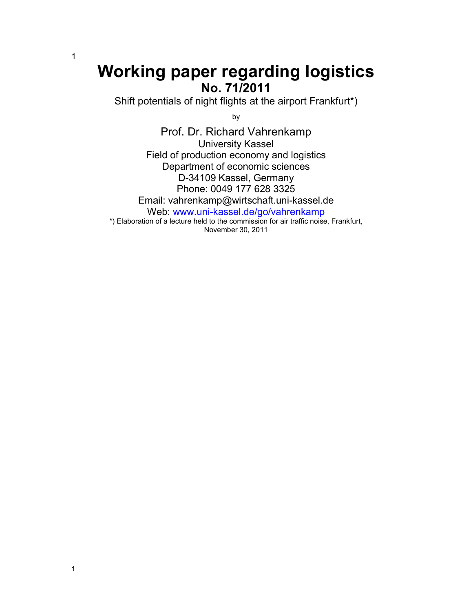# **Working paper regarding logistics No. 71/2011**

Shift potentials of night flights at the airport Frankfurt\*)

by

Prof. Dr. Richard Vahrenkamp University Kassel Field of production economy and logistics Department of economic sciences D-34109 Kassel, Germany Phone: 0049 177 628 3325 Email: vahrenkamp@wirtschaft.uni-kassel.de Web: www.uni-kassel.de/go/vahrenkamp \*) Elaboration of a lecture held to the commission for air traffic noise, Frankfurt, November 30, 2011

1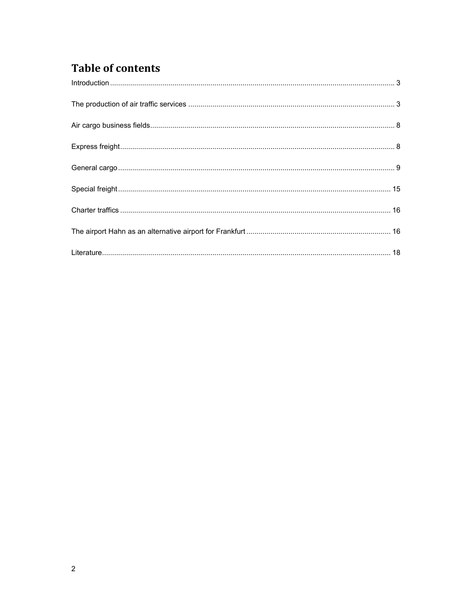## **Table of contents**

| $\label{eq:1} \mbox{Introduction} \,\, \ldots \,\, \ldots \,\, \ldots \,\, \ldots \,\, \ldots \,\, \ldots \,\, \ldots \,\, \ldots \,\, \ldots \,\, \ldots \,\, \ldots \,\, \ldots \,\, \ldots \,\, \ldots \,\, \ldots \,\, \ldots \,\, \ldots \,\, \ldots \,\, \ldots \,\, \ldots \,\, \ldots \,\, \ldots \,\, \ldots \,\, \ldots \,\, \ldots \,\, \ldots \,\, \ldots \,\, \ldots \,\, \ldots \,\, \ldots \,\, \ldots \,\, \ldots \,\, \ldots \,\, \ldots \,\,$ |  |
|-----------------------------------------------------------------------------------------------------------------------------------------------------------------------------------------------------------------------------------------------------------------------------------------------------------------------------------------------------------------------------------------------------------------------------------------------------------------|--|
|                                                                                                                                                                                                                                                                                                                                                                                                                                                                 |  |
|                                                                                                                                                                                                                                                                                                                                                                                                                                                                 |  |
|                                                                                                                                                                                                                                                                                                                                                                                                                                                                 |  |
|                                                                                                                                                                                                                                                                                                                                                                                                                                                                 |  |
|                                                                                                                                                                                                                                                                                                                                                                                                                                                                 |  |
|                                                                                                                                                                                                                                                                                                                                                                                                                                                                 |  |
|                                                                                                                                                                                                                                                                                                                                                                                                                                                                 |  |
|                                                                                                                                                                                                                                                                                                                                                                                                                                                                 |  |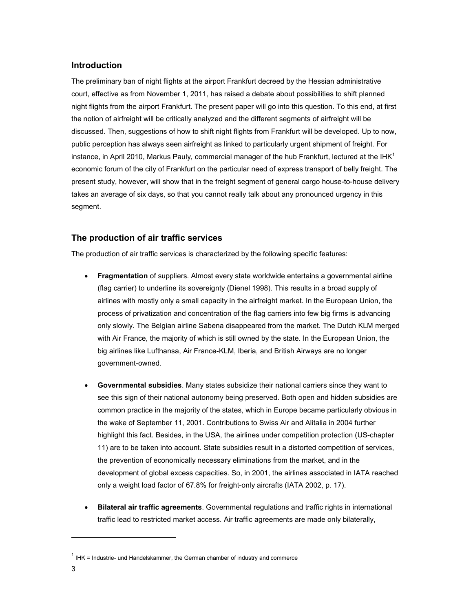## **Introduction**

The preliminary ban of night flights at the airport Frankfurt decreed by the Hessian administrative court, effective as from November 1, 2011, has raised a debate about possibilities to shift planned night flights from the airport Frankfurt. The present paper will go into this question. To this end, at first the notion of airfreight will be critically analyzed and the different segments of airfreight will be discussed. Then, suggestions of how to shift night flights from Frankfurt will be developed. Up to now, public perception has always seen airfreight as linked to particularly urgent shipment of freight. For instance, in April 2010, Markus Pauly, commercial manager of the hub Frankfurt, lectured at the IHK<sup>1</sup> economic forum of the city of Frankfurt on the particular need of express transport of belly freight. The present study, however, will show that in the freight segment of general cargo house-to-house delivery takes an average of six days, so that you cannot really talk about any pronounced urgency in this segment.

## **The production of air traffic services**

The production of air traffic services is characterized by the following specific features:

- **Fragmentation** of suppliers. Almost every state worldwide entertains a governmental airline (flag carrier) to underline its sovereignty (Dienel 1998). This results in a broad supply of airlines with mostly only a small capacity in the airfreight market. In the European Union, the process of privatization and concentration of the flag carriers into few big firms is advancing only slowly. The Belgian airline Sabena disappeared from the market. The Dutch KLM merged with Air France, the majority of which is still owned by the state. In the European Union, the big airlines like Lufthansa, Air France-KLM, Iberia, and British Airways are no longer government-owned.
- **Governmental subsidies**. Many states subsidize their national carriers since they want to see this sign of their national autonomy being preserved. Both open and hidden subsidies are common practice in the majority of the states, which in Europe became particularly obvious in the wake of September 11, 2001. Contributions to Swiss Air and Alitalia in 2004 further highlight this fact. Besides, in the USA, the airlines under competition protection (US-chapter 11) are to be taken into account. State subsidies result in a distorted competition of services, the prevention of economically necessary eliminations from the market, and in the development of global excess capacities. So, in 2001, the airlines associated in IATA reached only a weight load factor of 67.8% for freight-only aircrafts (IATA 2002, p. 17).
- **Bilateral air traffic agreements**. Governmental regulations and traffic rights in international traffic lead to restricted market access. Air traffic agreements are made only bilaterally,

 $1$  IHK = Industrie- und Handelskammer, the German chamber of industry and commerce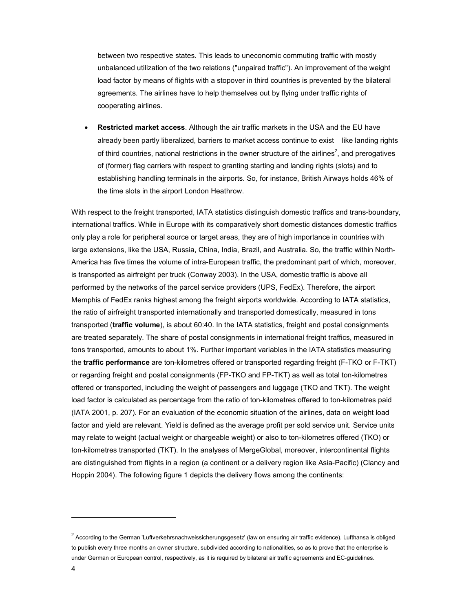between two respective states. This leads to uneconomic commuting traffic with mostly unbalanced utilization of the two relations ("unpaired traffic"). An improvement of the weight load factor by means of flights with a stopover in third countries is prevented by the bilateral agreements. The airlines have to help themselves out by flying under traffic rights of cooperating airlines.

• **Restricted market access**. Although the air traffic markets in the USA and the EU have already been partly liberalized, barriers to market access continue to exist − like landing rights of third countries, national restrictions in the owner structure of the airlines<sup>2</sup>, and prerogatives of (former) flag carriers with respect to granting starting and landing rights (slots) and to establishing handling terminals in the airports. So, for instance, British Airways holds 46% of the time slots in the airport London Heathrow.

With respect to the freight transported, IATA statistics distinguish domestic traffics and trans-boundary, international traffics. While in Europe with its comparatively short domestic distances domestic traffics only play a role for peripheral source or target areas, they are of high importance in countries with large extensions, like the USA, Russia, China, India, Brazil, and Australia. So, the traffic within North-America has five times the volume of intra-European traffic, the predominant part of which, moreover, is transported as airfreight per truck (Conway 2003). In the USA, domestic traffic is above all performed by the networks of the parcel service providers (UPS, FedEx). Therefore, the airport Memphis of FedEx ranks highest among the freight airports worldwide. According to IATA statistics, the ratio of airfreight transported internationally and transported domestically, measured in tons transported (**traffic volume**), is about 60:40. In the IATA statistics, freight and postal consignments are treated separately. The share of postal consignments in international freight traffics, measured in tons transported, amounts to about 1%. Further important variables in the IATA statistics measuring the **traffic performance** are ton-kilometres offered or transported regarding freight (F-TKO or F-TKT) or regarding freight and postal consignments (FP-TKO and FP-TKT) as well as total ton-kilometres offered or transported, including the weight of passengers and luggage (TKO and TKT). The weight load factor is calculated as percentage from the ratio of ton-kilometres offered to ton-kilometres paid (IATA 2001, p. 207). For an evaluation of the economic situation of the airlines, data on weight load factor and yield are relevant. Yield is defined as the average profit per sold service unit. Service units may relate to weight (actual weight or chargeable weight) or also to ton-kilometres offered (TKO) or ton-kilometres transported (TKT). In the analyses of MergeGlobal, moreover, intercontinental flights are distinguished from flights in a region (a continent or a delivery region like Asia-Pacific) (Clancy and Hoppin 2004). The following figure 1 depicts the delivery flows among the continents:

 $^2$  According to the German 'Luftverkehrsnachweissicherungsgesetz' (law on ensuring air traffic evidence), Lufthansa is obliged to publish every three months an owner structure, subdivided according to nationalities, so as to prove that the enterprise is under German or European control, respectively, as it is required by bilateral air traffic agreements and EC-guidelines.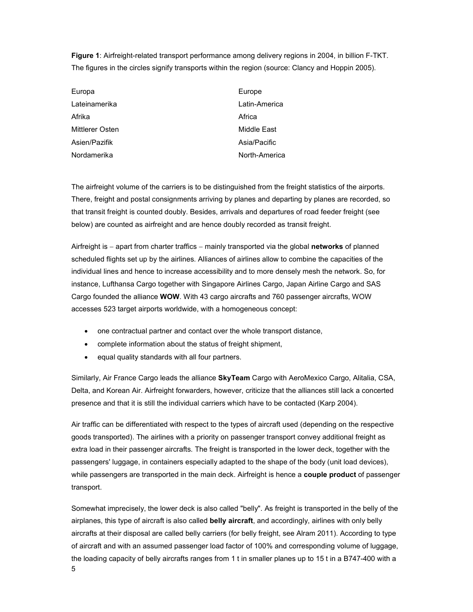**Figure 1**: Airfreight-related transport performance among delivery regions in 2004, in billion F-TKT. The figures in the circles signify transports within the region (source: Clancy and Hoppin 2005).

| Europa          | Europe        |
|-----------------|---------------|
| Lateinamerika   | Latin-America |
| Afrika          | Africa        |
| Mittlerer Osten | Middle East   |
| Asien/Pazifik   | Asia/Pacific  |
| Nordamerika     | North-America |

The airfreight volume of the carriers is to be distinguished from the freight statistics of the airports. There, freight and postal consignments arriving by planes and departing by planes are recorded, so that transit freight is counted doubly. Besides, arrivals and departures of road feeder freight (see below) are counted as airfreight and are hence doubly recorded as transit freight.

Airfreight is − apart from charter traffics − mainly transported via the global **networks** of planned scheduled flights set up by the airlines. Alliances of airlines allow to combine the capacities of the individual lines and hence to increase accessibility and to more densely mesh the network. So, for instance, Lufthansa Cargo together with Singapore Airlines Cargo, Japan Airline Cargo and SAS Cargo founded the alliance **WOW**. With 43 cargo aircrafts and 760 passenger aircrafts, WOW accesses 523 target airports worldwide, with a homogeneous concept:

- one contractual partner and contact over the whole transport distance,
- complete information about the status of freight shipment,
- equal quality standards with all four partners.

Similarly, Air France Cargo leads the alliance **SkyTeam** Cargo with AeroMexico Cargo, Alitalia, CSA, Delta, and Korean Air. Airfreight forwarders, however, criticize that the alliances still lack a concerted presence and that it is still the individual carriers which have to be contacted (Karp 2004).

Air traffic can be differentiated with respect to the types of aircraft used (depending on the respective goods transported). The airlines with a priority on passenger transport convey additional freight as extra load in their passenger aircrafts. The freight is transported in the lower deck, together with the passengers' luggage, in containers especially adapted to the shape of the body (unit load devices), while passengers are transported in the main deck. Airfreight is hence a **couple product** of passenger transport.

5 Somewhat imprecisely, the lower deck is also called "belly". As freight is transported in the belly of the airplanes, this type of aircraft is also called **belly aircraft**, and accordingly, airlines with only belly aircrafts at their disposal are called belly carriers (for belly freight, see Alram 2011). According to type of aircraft and with an assumed passenger load factor of 100% and corresponding volume of luggage, the loading capacity of belly aircrafts ranges from 1 t in smaller planes up to 15 t in a B747-400 with a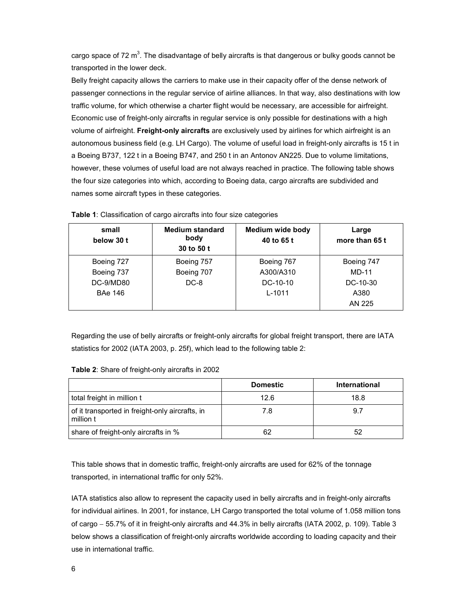cargo space of 72  $m^3$ . The disadvantage of belly aircrafts is that dangerous or bulky goods cannot be transported in the lower deck.

Belly freight capacity allows the carriers to make use in their capacity offer of the dense network of passenger connections in the regular service of airline alliances. In that way, also destinations with low traffic volume, for which otherwise a charter flight would be necessary, are accessible for airfreight. Economic use of freight-only aircrafts in regular service is only possible for destinations with a high volume of airfreight. **Freight-only aircrafts** are exclusively used by airlines for which airfreight is an autonomous business field (e.g. LH Cargo). The volume of useful load in freight-only aircrafts is 15 t in a Boeing B737, 122 t in a Boeing B747, and 250 t in an Antonov AN225. Due to volume limitations, however, these volumes of useful load are not always reached in practice. The following table shows the four size categories into which, according to Boeing data, cargo aircrafts are subdivided and names some aircraft types in these categories.

| small<br>below 30 t | <b>Medium standard</b><br>body<br>30 to 50 t | <b>Medium wide body</b><br>40 to 65 t | Large<br>more than 65 t |
|---------------------|----------------------------------------------|---------------------------------------|-------------------------|
| Boeing 727          | Boeing 757                                   | Boeing 767                            | Boeing 747              |
| Boeing 737          | Boeing 707                                   | A300/A310                             | MD-11                   |
| DC-9/MD80           | $DC-8$                                       | $DC-10-10$                            | $DC-10-30$              |
| BAe 146             |                                              | $L - 1011$                            | A380                    |
|                     |                                              |                                       | AN 225                  |

|  |  |  |  |  |  |  |  |  |  | Table 1: Classification of cargo aircrafts into four size categories |  |
|--|--|--|--|--|--|--|--|--|--|----------------------------------------------------------------------|--|
|--|--|--|--|--|--|--|--|--|--|----------------------------------------------------------------------|--|

Regarding the use of belly aircrafts or freight-only aircrafts for global freight transport, there are IATA statistics for 2002 (IATA 2003, p. 25f), which lead to the following table 2:

| Table 2: Share of freight-only aircrafts in 2002 |  |
|--------------------------------------------------|--|
|--------------------------------------------------|--|

|                                                              | <b>Domestic</b> | International |
|--------------------------------------------------------------|-----------------|---------------|
| total freight in million t                                   | 12.6            | 18.8          |
| of it transported in freight-only aircrafts, in<br>million t | 7.8             | 9.7           |
| share of freight-only aircrafts in %                         | 62              | 52            |

This table shows that in domestic traffic, freight-only aircrafts are used for 62% of the tonnage transported, in international traffic for only 52%.

IATA statistics also allow to represent the capacity used in belly aircrafts and in freight-only aircrafts for individual airlines. In 2001, for instance, LH Cargo transported the total volume of 1.058 million tons of cargo − 55.7% of it in freight-only aircrafts and 44.3% in belly aircrafts (IATA 2002, p. 109). Table 3 below shows a classification of freight-only aircrafts worldwide according to loading capacity and their use in international traffic.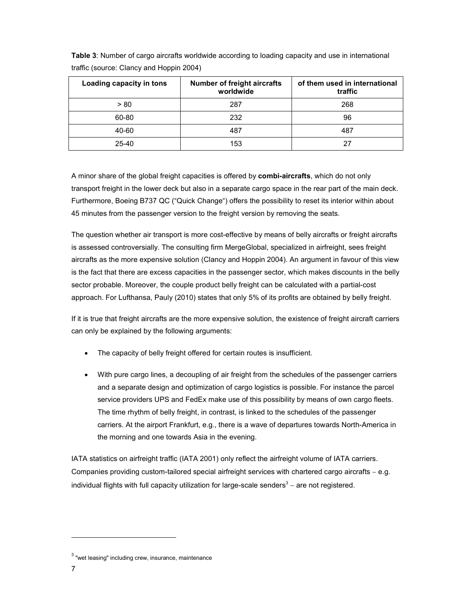| Loading capacity in tons | <b>Number of freight aircrafts</b><br>worldwide | of them used in international<br>traffic |
|--------------------------|-------------------------------------------------|------------------------------------------|
| > 80                     | 287                                             | 268                                      |
| 60-80                    | 232                                             | 96                                       |
| 40-60                    | 487                                             | 487                                      |
| 25-40                    | 153                                             | 27                                       |

**Table 3**: Number of cargo aircrafts worldwide according to loading capacity and use in international traffic (source: Clancy and Hoppin 2004)

A minor share of the global freight capacities is offered by **combi-aircrafts**, which do not only transport freight in the lower deck but also in a separate cargo space in the rear part of the main deck. Furthermore, Boeing B737 QC ("Quick Change") offers the possibility to reset its interior within about 45 minutes from the passenger version to the freight version by removing the seats.

The question whether air transport is more cost-effective by means of belly aircrafts or freight aircrafts is assessed controversially. The consulting firm MergeGlobal, specialized in airfreight, sees freight aircrafts as the more expensive solution (Clancy and Hoppin 2004). An argument in favour of this view is the fact that there are excess capacities in the passenger sector, which makes discounts in the belly sector probable. Moreover, the couple product belly freight can be calculated with a partial-cost approach. For Lufthansa, Pauly (2010) states that only 5% of its profits are obtained by belly freight.

If it is true that freight aircrafts are the more expensive solution, the existence of freight aircraft carriers can only be explained by the following arguments:

- The capacity of belly freight offered for certain routes is insufficient.
- With pure cargo lines, a decoupling of air freight from the schedules of the passenger carriers and a separate design and optimization of cargo logistics is possible. For instance the parcel service providers UPS and FedEx make use of this possibility by means of own cargo fleets. The time rhythm of belly freight, in contrast, is linked to the schedules of the passenger carriers. At the airport Frankfurt, e.g., there is a wave of departures towards North-America in the morning and one towards Asia in the evening.

IATA statistics on airfreight traffic (IATA 2001) only reflect the airfreight volume of IATA carriers. Companies providing custom-tailored special airfreight services with chartered cargo aircrafts − e.g. individual flights with full capacity utilization for large-scale senders<sup>3</sup> – are not registered.

<sup>&</sup>lt;sup>3</sup> "wet leasing" including crew, insurance, maintenance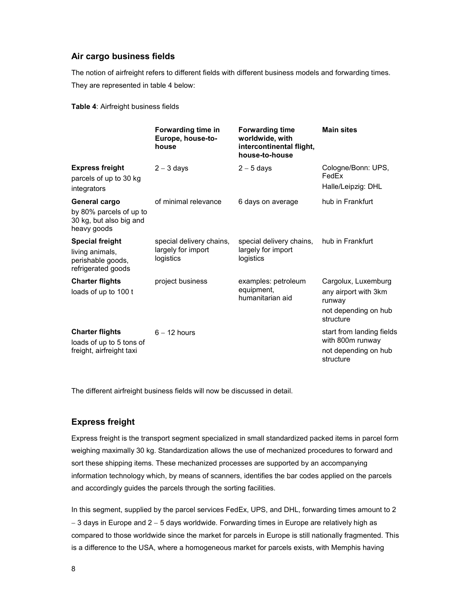## **Air cargo business fields**

The notion of airfreight refers to different fields with different business models and forwarding times. They are represented in table 4 below:

**Table 4**: Airfreight business fields

|                                                                                      | Forwarding time in<br>Europe, house-to-<br>house            | <b>Forwarding time</b><br>worldwide, with<br>intercontinental flight,<br>house-to-house | <b>Main sites</b>                                                                          |
|--------------------------------------------------------------------------------------|-------------------------------------------------------------|-----------------------------------------------------------------------------------------|--------------------------------------------------------------------------------------------|
| <b>Express freight</b><br>parcels of up to 30 kg<br>integrators                      | $2 - 3$ days                                                | $2 - 5$ days                                                                            | Cologne/Bonn: UPS,<br>FedEx<br>Halle/Leipzig: DHL                                          |
| General cargo<br>by 80% parcels of up to<br>30 kg, but also big and<br>heavy goods   | of minimal relevance                                        | 6 days on average                                                                       | hub in Frankfurt                                                                           |
| <b>Special freight</b><br>living animals,<br>perishable goods,<br>refrigerated goods | special delivery chains,<br>largely for import<br>logistics | special delivery chains,<br>largely for import<br>logistics                             | hub in Frankfurt                                                                           |
| <b>Charter flights</b><br>loads of up to 100 t                                       | project business                                            | examples: petroleum<br>equipment,<br>humanitarian aid                                   | Cargolux, Luxemburg<br>any airport with 3km<br>runway<br>not depending on hub<br>structure |
| <b>Charter flights</b><br>loads of up to 5 tons of<br>freight, airfreight taxi       | $6 - 12$ hours                                              |                                                                                         | start from landing fields<br>with 800m runway<br>not depending on hub<br>structure         |

The different airfreight business fields will now be discussed in detail.

## **Express freight**

Express freight is the transport segment specialized in small standardized packed items in parcel form weighing maximally 30 kg. Standardization allows the use of mechanized procedures to forward and sort these shipping items. These mechanized processes are supported by an accompanying information technology which, by means of scanners, identifies the bar codes applied on the parcels and accordingly guides the parcels through the sorting facilities.

In this segment, supplied by the parcel services FedEx, UPS, and DHL, forwarding times amount to 2 − 3 days in Europe and 2 − 5 days worldwide. Forwarding times in Europe are relatively high as compared to those worldwide since the market for parcels in Europe is still nationally fragmented. This is a difference to the USA, where a homogeneous market for parcels exists, with Memphis having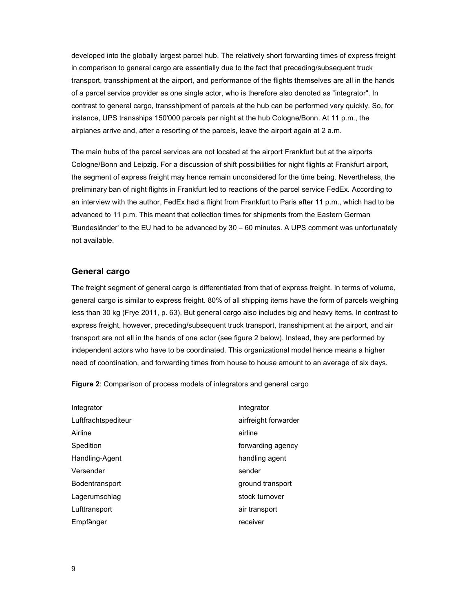developed into the globally largest parcel hub. The relatively short forwarding times of express freight in comparison to general cargo are essentially due to the fact that preceding/subsequent truck transport, transshipment at the airport, and performance of the flights themselves are all in the hands of a parcel service provider as one single actor, who is therefore also denoted as "integrator". In contrast to general cargo, transshipment of parcels at the hub can be performed very quickly. So, for instance, UPS transships 150'000 parcels per night at the hub Cologne/Bonn. At 11 p.m., the airplanes arrive and, after a resorting of the parcels, leave the airport again at 2 a.m.

The main hubs of the parcel services are not located at the airport Frankfurt but at the airports Cologne/Bonn and Leipzig. For a discussion of shift possibilities for night flights at Frankfurt airport, the segment of express freight may hence remain unconsidered for the time being. Nevertheless, the preliminary ban of night flights in Frankfurt led to reactions of the parcel service FedEx. According to an interview with the author, FedEx had a flight from Frankfurt to Paris after 11 p.m., which had to be advanced to 11 p.m. This meant that collection times for shipments from the Eastern German 'Bundesländer' to the EU had to be advanced by 30 − 60 minutes. A UPS comment was unfortunately not available.

## **General cargo**

The freight segment of general cargo is differentiated from that of express freight. In terms of volume, general cargo is similar to express freight. 80% of all shipping items have the form of parcels weighing less than 30 kg (Frye 2011, p. 63). But general cargo also includes big and heavy items. In contrast to express freight, however, preceding/subsequent truck transport, transshipment at the airport, and air transport are not all in the hands of one actor (see figure 2 below). Instead, they are performed by independent actors who have to be coordinated. This organizational model hence means a higher need of coordination, and forwarding times from house to house amount to an average of six days.

**Figure 2**: Comparison of process models of integrators and general cargo

| Integrator          | integrator           |
|---------------------|----------------------|
| Luftfrachtspediteur | airfreight forwarder |
| Airline             | airline              |
| Spedition           | forwarding agency    |
| Handling-Agent      | handling agent       |
| Versender           | sender               |
| Bodentransport      | ground transport     |
| Lagerumschlag       | stock turnover       |
| Lufttransport       | air transport        |
| Empfänger           | receiver             |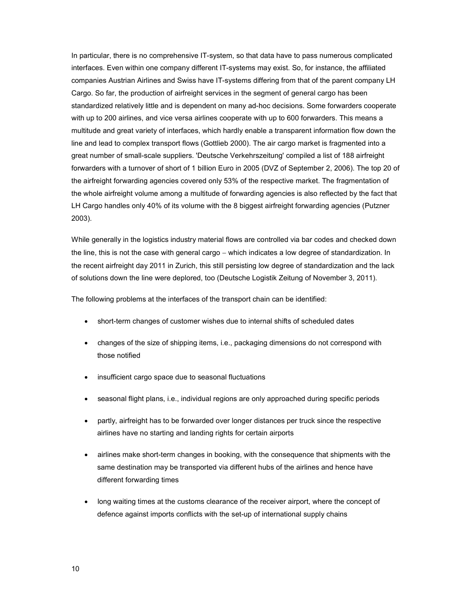In particular, there is no comprehensive IT-system, so that data have to pass numerous complicated interfaces. Even within one company different IT-systems may exist. So, for instance, the affiliated companies Austrian Airlines and Swiss have IT-systems differing from that of the parent company LH Cargo. So far, the production of airfreight services in the segment of general cargo has been standardized relatively little and is dependent on many ad-hoc decisions. Some forwarders cooperate with up to 200 airlines, and vice versa airlines cooperate with up to 600 forwarders. This means a multitude and great variety of interfaces, which hardly enable a transparent information flow down the line and lead to complex transport flows (Gottlieb 2000). The air cargo market is fragmented into a great number of small-scale suppliers. 'Deutsche Verkehrszeitung' compiled a list of 188 airfreight forwarders with a turnover of short of 1 billion Euro in 2005 (DVZ of September 2, 2006). The top 20 of the airfreight forwarding agencies covered only 53% of the respective market. The fragmentation of the whole airfreight volume among a multitude of forwarding agencies is also reflected by the fact that LH Cargo handles only 40% of its volume with the 8 biggest airfreight forwarding agencies (Putzner 2003).

While generally in the logistics industry material flows are controlled via bar codes and checked down the line, this is not the case with general cargo − which indicates a low degree of standardization. In the recent airfreight day 2011 in Zurich, this still persisting low degree of standardization and the lack of solutions down the line were deplored, too (Deutsche Logistik Zeitung of November 3, 2011).

The following problems at the interfaces of the transport chain can be identified:

- short-term changes of customer wishes due to internal shifts of scheduled dates
- changes of the size of shipping items, i.e., packaging dimensions do not correspond with those notified
- insufficient cargo space due to seasonal fluctuations
- seasonal flight plans, i.e., individual regions are only approached during specific periods
- partly, airfreight has to be forwarded over longer distances per truck since the respective airlines have no starting and landing rights for certain airports
- airlines make short-term changes in booking, with the consequence that shipments with the same destination may be transported via different hubs of the airlines and hence have different forwarding times
- long waiting times at the customs clearance of the receiver airport, where the concept of defence against imports conflicts with the set-up of international supply chains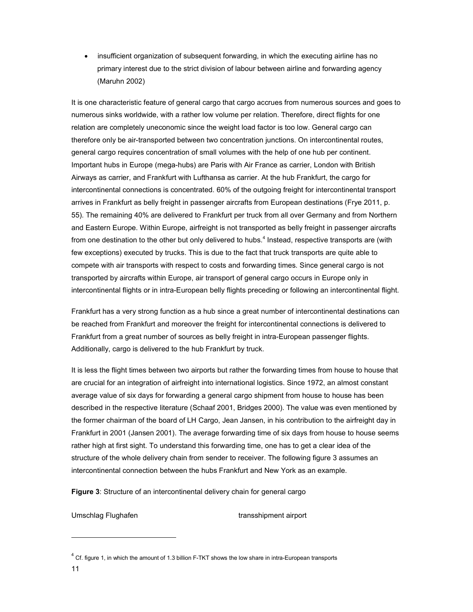• insufficient organization of subsequent forwarding, in which the executing airline has no primary interest due to the strict division of labour between airline and forwarding agency (Maruhn 2002)

It is one characteristic feature of general cargo that cargo accrues from numerous sources and goes to numerous sinks worldwide, with a rather low volume per relation. Therefore, direct flights for one relation are completely uneconomic since the weight load factor is too low. General cargo can therefore only be air-transported between two concentration junctions. On intercontinental routes, general cargo requires concentration of small volumes with the help of one hub per continent. Important hubs in Europe (mega-hubs) are Paris with Air France as carrier, London with British Airways as carrier, and Frankfurt with Lufthansa as carrier. At the hub Frankfurt, the cargo for intercontinental connections is concentrated. 60% of the outgoing freight for intercontinental transport arrives in Frankfurt as belly freight in passenger aircrafts from European destinations (Frye 2011, p. 55). The remaining 40% are delivered to Frankfurt per truck from all over Germany and from Northern and Eastern Europe. Within Europe, airfreight is not transported as belly freight in passenger aircrafts from one destination to the other but only delivered to hubs.<sup>4</sup> Instead, respective transports are (with few exceptions) executed by trucks. This is due to the fact that truck transports are quite able to compete with air transports with respect to costs and forwarding times. Since general cargo is not transported by aircrafts within Europe, air transport of general cargo occurs in Europe only in intercontinental flights or in intra-European belly flights preceding or following an intercontinental flight.

Frankfurt has a very strong function as a hub since a great number of intercontinental destinations can be reached from Frankfurt and moreover the freight for intercontinental connections is delivered to Frankfurt from a great number of sources as belly freight in intra-European passenger flights. Additionally, cargo is delivered to the hub Frankfurt by truck.

It is less the flight times between two airports but rather the forwarding times from house to house that are crucial for an integration of airfreight into international logistics. Since 1972, an almost constant average value of six days for forwarding a general cargo shipment from house to house has been described in the respective literature (Schaaf 2001, Bridges 2000). The value was even mentioned by the former chairman of the board of LH Cargo, Jean Jansen, in his contribution to the airfreight day in Frankfurt in 2001 (Jansen 2001). The average forwarding time of six days from house to house seems rather high at first sight. To understand this forwarding time, one has to get a clear idea of the structure of the whole delivery chain from sender to receiver. The following figure 3 assumes an intercontinental connection between the hubs Frankfurt and New York as an example.

**Figure 3**: Structure of an intercontinental delivery chain for general cargo

Umschlag Flughafen transshipment airport

 $^{4}$  Cf. figure 1, in which the amount of 1.3 billion F-TKT shows the low share in intra-European transports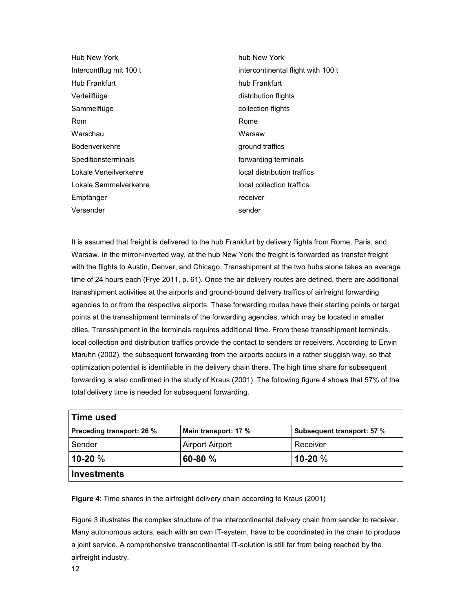| hub New York                       |
|------------------------------------|
| intercontinental flight with 100 t |
| hub Frankfurt                      |
| distribution flights               |
| collection flights                 |
| Rome                               |
| Warsaw                             |
| ground traffics                    |
| forwarding terminals               |
| local distribution traffics        |
| local collection traffics          |
| receiver                           |
| sender                             |
|                                    |

It is assumed that freight is delivered to the hub Frankfurt by delivery flights from Rome, Paris, and Warsaw. In the mirror-inverted way, at the hub New York the freight is forwarded as transfer freight with the flights to Austin, Denver, and Chicago. Transshipment at the two hubs alone takes an average time of 24 hours each (Frye 2011, p. 61). Once the air delivery routes are defined, there are additional transshipment activities at the airports and ground-bound delivery traffics of airfreight forwarding agencies to or from the respective airports. These forwarding routes have their starting points or target points at the transshipment terminals of the forwarding agencies, which may be located in smaller cities. Transshipment in the terminals requires additional time. From these transshipment terminals, local collection and distribution traffics provide the contact to senders or receivers. According to Erwin Maruhn (2002), the subsequent forwarding from the airports occurs in a rather sluggish way, so that optimization potential is identifiable in the delivery chain there. The high time share for subsequent forwarding is also confirmed in the study of Kraus (2001). The following figure 4 shows that 57% of the total delivery time is needed for subsequent forwarding.

| Time used                        |                        |                                   |
|----------------------------------|------------------------|-----------------------------------|
| <b>Preceding transport: 26 %</b> | Main transport: 17 %   | <b>Subsequent transport: 57 %</b> |
| Sender                           | <b>Airport Airport</b> | Receiver                          |
| $10-20%$                         | 60-80 $%$              | $10-20%$                          |
| Investments                      |                        |                                   |

**Figure 4**: Time shares in the airfreight delivery chain according to Kraus (2001)

Figure 3 illustrates the complex structure of the intercontinental delivery chain from sender to receiver. Many autonomous actors, each with an own IT-system, have to be coordinated in the chain to produce a joint service. A comprehensive transcontinental IT-solution is still far from being reached by the airfreight industry.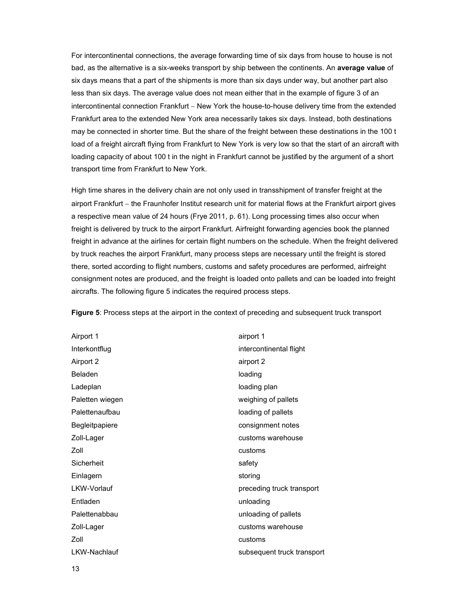For intercontinental connections, the average forwarding time of six days from house to house is not bad, as the alternative is a six-weeks transport by ship between the continents. An **average value** of six days means that a part of the shipments is more than six days under way, but another part also less than six days. The average value does not mean either that in the example of figure 3 of an intercontinental connection Frankfurt − New York the house-to-house delivery time from the extended Frankfurt area to the extended New York area necessarily takes six days. Instead, both destinations may be connected in shorter time. But the share of the freight between these destinations in the 100 t load of a freight aircraft flying from Frankfurt to New York is very low so that the start of an aircraft with loading capacity of about 100 t in the night in Frankfurt cannot be justified by the argument of a short transport time from Frankfurt to New York.

High time shares in the delivery chain are not only used in transshipment of transfer freight at the airport Frankfurt − the Fraunhofer Institut research unit for material flows at the Frankfurt airport gives a respective mean value of 24 hours (Frye 2011, p. 61). Long processing times also occur when freight is delivered by truck to the airport Frankfurt. Airfreight forwarding agencies book the planned freight in advance at the airlines for certain flight numbers on the schedule. When the freight delivered by truck reaches the airport Frankfurt, many process steps are necessary until the freight is stored there, sorted according to flight numbers, customs and safety procedures are performed, airfreight consignment notes are produced, and the freight is loaded onto pallets and can be loaded into freight aircrafts. The following figure 5 indicates the required process steps.

**Figure 5**: Process steps at the airport in the context of preceding and subsequent truck transport

Airport 1 airport 1 Interkontflug intercontinental flight Airport 2 airport 2 Beladen loading Ladeplan and a state of the loading plane loading plane Paletten wiegen weighing of pallets Palettenaufbau and a control of pallets and pallets and pallets and pallets and pallets Begleitpapiere **consignment notes** Zoll-Lager customs warehouse Zoll customs Sicherheit safety Einlagern storing and the storing LKW-Vorlauf **preceding truck transport** Entladen unloading Palettenabbau **unloading of pallets** Zoll-Lager customs warehouse Zoll **Customs** LKW-Nachlauf subsequent truck transport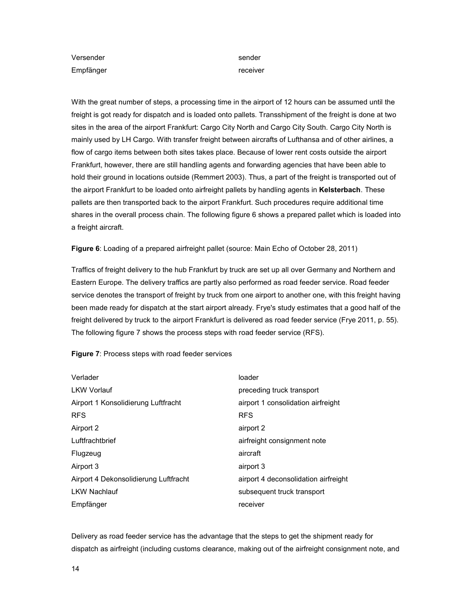Versender sender sender sender sender sender sender sender sender sender sender sender sender sender sender sender sender sender sender sender sender sender sender sender sender sender sender sender sender sender sender se Empfänger receiver

With the great number of steps, a processing time in the airport of 12 hours can be assumed until the freight is got ready for dispatch and is loaded onto pallets. Transshipment of the freight is done at two sites in the area of the airport Frankfurt: Cargo City North and Cargo City South. Cargo City North is mainly used by LH Cargo. With transfer freight between aircrafts of Lufthansa and of other airlines, a flow of cargo items between both sites takes place. Because of lower rent costs outside the airport Frankfurt, however, there are still handling agents and forwarding agencies that have been able to hold their ground in locations outside (Remmert 2003). Thus, a part of the freight is transported out of the airport Frankfurt to be loaded onto airfreight pallets by handling agents in **Kelsterbach**. These pallets are then transported back to the airport Frankfurt. Such procedures require additional time shares in the overall process chain. The following figure 6 shows a prepared pallet which is loaded into a freight aircraft.

**Figure 6**: Loading of a prepared airfreight pallet (source: Main Echo of October 28, 2011)

Traffics of freight delivery to the hub Frankfurt by truck are set up all over Germany and Northern and Eastern Europe. The delivery traffics are partly also performed as road feeder service. Road feeder service denotes the transport of freight by truck from one airport to another one, with this freight having been made ready for dispatch at the start airport already. Frye's study estimates that a good half of the freight delivered by truck to the airport Frankfurt is delivered as road feeder service (Frye 2011, p. 55). The following figure 7 shows the process steps with road feeder service (RFS).

#### **Figure 7**: Process steps with road feeder services

| Verlader                              | loader                               |
|---------------------------------------|--------------------------------------|
| <b>LKW Vorlauf</b>                    | preceding truck transport            |
| Airport 1 Konsolidierung Luftfracht   | airport 1 consolidation airfreight   |
| <b>RFS</b>                            | <b>RFS</b>                           |
| Airport 2                             | airport 2                            |
| Luftfrachtbrief                       | airfreight consignment note          |
| Flugzeug                              | aircraft                             |
| Airport 3                             | airport 3                            |
| Airport 4 Dekonsolidierung Luftfracht | airport 4 deconsolidation airfreight |
| <b>LKW Nachlauf</b>                   | subsequent truck transport           |
| Empfänger                             | receiver                             |

Delivery as road feeder service has the advantage that the steps to get the shipment ready for dispatch as airfreight (including customs clearance, making out of the airfreight consignment note, and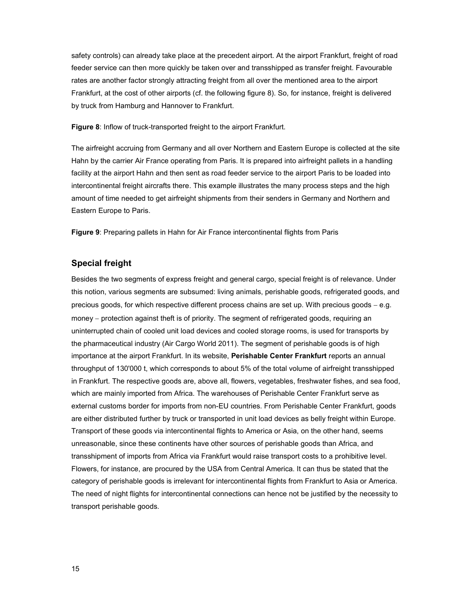safety controls) can already take place at the precedent airport. At the airport Frankfurt, freight of road feeder service can then more quickly be taken over and transshipped as transfer freight. Favourable rates are another factor strongly attracting freight from all over the mentioned area to the airport Frankfurt, at the cost of other airports (cf. the following figure 8). So, for instance, freight is delivered by truck from Hamburg and Hannover to Frankfurt.

**Figure 8**: Inflow of truck-transported freight to the airport Frankfurt.

The airfreight accruing from Germany and all over Northern and Eastern Europe is collected at the site Hahn by the carrier Air France operating from Paris. It is prepared into airfreight pallets in a handling facility at the airport Hahn and then sent as road feeder service to the airport Paris to be loaded into intercontinental freight aircrafts there. This example illustrates the many process steps and the high amount of time needed to get airfreight shipments from their senders in Germany and Northern and Eastern Europe to Paris.

**Figure 9**: Preparing pallets in Hahn for Air France intercontinental flights from Paris

### **Special freight**

Besides the two segments of express freight and general cargo, special freight is of relevance. Under this notion, various segments are subsumed: living animals, perishable goods, refrigerated goods, and precious goods, for which respective different process chains are set up. With precious goods – e.g. money – protection against theft is of priority. The segment of refrigerated goods, requiring an uninterrupted chain of cooled unit load devices and cooled storage rooms, is used for transports by the pharmaceutical industry (Air Cargo World 2011). The segment of perishable goods is of high importance at the airport Frankfurt. In its website, **Perishable Center Frankfurt** reports an annual throughput of 130'000 t, which corresponds to about 5% of the total volume of airfreight transshipped in Frankfurt. The respective goods are, above all, flowers, vegetables, freshwater fishes, and sea food, which are mainly imported from Africa. The warehouses of Perishable Center Frankfurt serve as external customs border for imports from non-EU countries. From Perishable Center Frankfurt, goods are either distributed further by truck or transported in unit load devices as belly freight within Europe. Transport of these goods via intercontinental flights to America or Asia, on the other hand, seems unreasonable, since these continents have other sources of perishable goods than Africa, and transshipment of imports from Africa via Frankfurt would raise transport costs to a prohibitive level. Flowers, for instance, are procured by the USA from Central America. It can thus be stated that the category of perishable goods is irrelevant for intercontinental flights from Frankfurt to Asia or America. The need of night flights for intercontinental connections can hence not be justified by the necessity to transport perishable goods.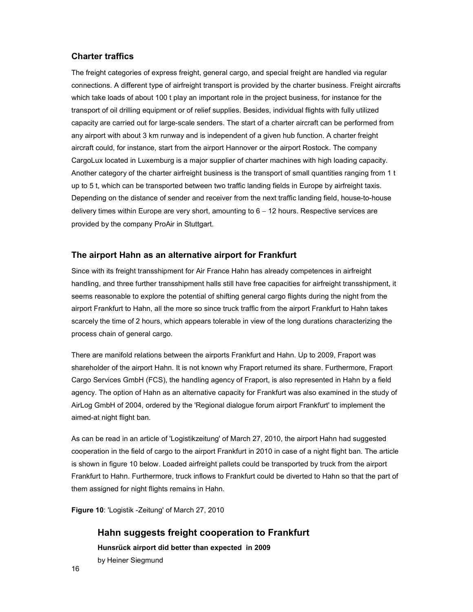## **Charter traffics**

The freight categories of express freight, general cargo, and special freight are handled via regular connections. A different type of airfreight transport is provided by the charter business. Freight aircrafts which take loads of about 100 t play an important role in the project business, for instance for the transport of oil drilling equipment or of relief supplies. Besides, individual flights with fully utilized capacity are carried out for large-scale senders. The start of a charter aircraft can be performed from any airport with about 3 km runway and is independent of a given hub function. A charter freight aircraft could, for instance, start from the airport Hannover or the airport Rostock. The company CargoLux located in Luxemburg is a major supplier of charter machines with high loading capacity. Another category of the charter airfreight business is the transport of small quantities ranging from 1 t up to 5 t, which can be transported between two traffic landing fields in Europe by airfreight taxis. Depending on the distance of sender and receiver from the next traffic landing field, house-to-house delivery times within Europe are very short, amounting to 6 − 12 hours. Respective services are provided by the company ProAir in Stuttgart.

## **The airport Hahn as an alternative airport for Frankfurt**

Since with its freight transshipment for Air France Hahn has already competences in airfreight handling, and three further transshipment halls still have free capacities for airfreight transshipment, it seems reasonable to explore the potential of shifting general cargo flights during the night from the airport Frankfurt to Hahn, all the more so since truck traffic from the airport Frankfurt to Hahn takes scarcely the time of 2 hours, which appears tolerable in view of the long durations characterizing the process chain of general cargo.

There are manifold relations between the airports Frankfurt and Hahn. Up to 2009, Fraport was shareholder of the airport Hahn. It is not known why Fraport returned its share. Furthermore, Fraport Cargo Services GmbH (FCS), the handling agency of Fraport, is also represented in Hahn by a field agency. The option of Hahn as an alternative capacity for Frankfurt was also examined in the study of AirLog GmbH of 2004, ordered by the 'Regional dialogue forum airport Frankfurt' to implement the aimed-at night flight ban.

As can be read in an article of 'Logistikzeitung' of March 27, 2010, the airport Hahn had suggested cooperation in the field of cargo to the airport Frankfurt in 2010 in case of a night flight ban. The article is shown in figure 10 below. Loaded airfreight pallets could be transported by truck from the airport Frankfurt to Hahn. Furthermore, truck inflows to Frankfurt could be diverted to Hahn so that the part of them assigned for night flights remains in Hahn.

**Figure 10**: 'Logistik -Zeitung' of March 27, 2010

## **Hahn suggests freight cooperation to Frankfurt**

**Hunsrück airport did better than expected in 2009**  by Heiner Siegmund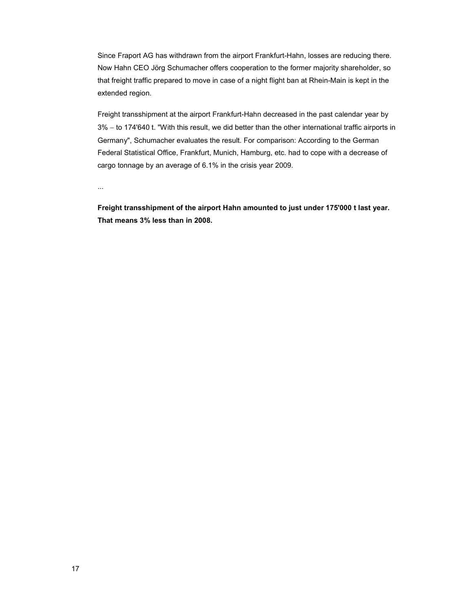Since Fraport AG has withdrawn from the airport Frankfurt-Hahn, losses are reducing there. Now Hahn CEO Jörg Schumacher offers cooperation to the former majority shareholder, so that freight traffic prepared to move in case of a night flight ban at Rhein-Main is kept in the extended region.

Freight transshipment at the airport Frankfurt-Hahn decreased in the past calendar year by 3% − to 174'640 t. "With this result, we did better than the other international traffic airports in Germany", Schumacher evaluates the result. For comparison: According to the German Federal Statistical Office, Frankfurt, Munich, Hamburg, etc. had to cope with a decrease of cargo tonnage by an average of 6.1% in the crisis year 2009.

...

**Freight transshipment of the airport Hahn amounted to just under 175'000 t last year. That means 3% less than in 2008.**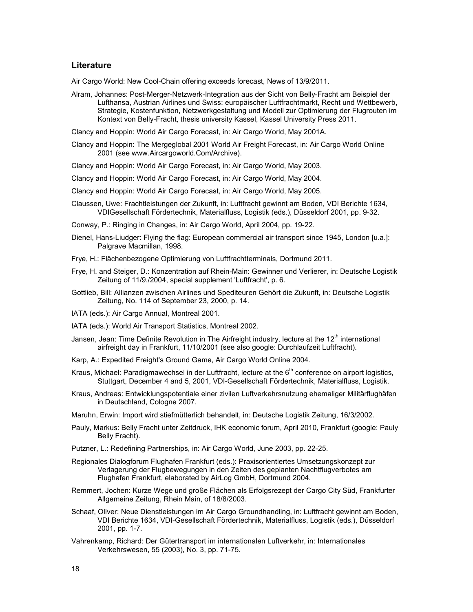#### **Literature**

Air Cargo World: New Cool-Chain offering exceeds forecast, News of 13/9/2011.

Alram, Johannes: Post-Merger-Netzwerk-Integration aus der Sicht von Belly-Fracht am Beispiel der Lufthansa, Austrian Airlines und Swiss: europäischer Luftfrachtmarkt, Recht und Wettbewerb, Strategie, Kostenfunktion, Netzwerkgestaltung und Modell zur Optimierung der Flugrouten im Kontext von Belly-Fracht, thesis university Kassel, Kassel University Press 2011.

Clancy and Hoppin: World Air Cargo Forecast, in: Air Cargo World, May 2001A.

- Clancy and Hoppin: The Mergeglobal 2001 World Air Freight Forecast, in: Air Cargo World Online 2001 (see www.Aircargoworld.Com/Archive).
- Clancy and Hoppin: World Air Cargo Forecast, in: Air Cargo World, May 2003.
- Clancy and Hoppin: World Air Cargo Forecast, in: Air Cargo World, May 2004.
- Clancy and Hoppin: World Air Cargo Forecast, in: Air Cargo World, May 2005.
- Claussen, Uwe: Frachtleistungen der Zukunft, in: Luftfracht gewinnt am Boden, VDI Berichte 1634, VDIGesellschaft Fördertechnik, Materialfluss, Logistik (eds.), Düsseldorf 2001, pp. 9-32.
- Conway, P.: Ringing in Changes, in: Air Cargo World, April 2004, pp. 19-22.
- Dienel, Hans-Liudger: Flying the flag: European commercial air transport since 1945, London [u.a.]: Palgrave Macmillan, 1998.
- Frye, H.: Flächenbezogene Optimierung von Luftfrachtterminals, Dortmund 2011.
- Frye, H. and Steiger, D.: Konzentration auf Rhein-Main: Gewinner und Verlierer, in: Deutsche Logistik Zeitung of 11/9./2004, special supplement 'Luftfracht', p. 6.
- Gottlieb, Bill: Allianzen zwischen Airlines und Spediteuren Gehört die Zukunft, in: Deutsche Logistik Zeitung, No. 114 of September 23, 2000, p. 14.
- IATA (eds.): Air Cargo Annual, Montreal 2001.
- IATA (eds.): World Air Transport Statistics, Montreal 2002.
- Jansen, Jean: Time Definite Revolution in The Airfreight industry, lecture at the 12<sup>th</sup> international airfreight day in Frankfurt, 11/10/2001 (see also google: Durchlaufzeit Luftfracht).
- Karp, A.: Expedited Freight's Ground Game, Air Cargo World Online 2004.
- Kraus, Michael: Paradigmawechsel in der Luftfracht, lecture at the  $6<sup>th</sup>$  conference on airport logistics, Stuttgart, December 4 and 5, 2001, VDI-Gesellschaft Fördertechnik, Materialfluss, Logistik.
- Kraus, Andreas: Entwicklungspotentiale einer zivilen Luftverkehrsnutzung ehemaliger Militärflughäfen in Deutschland, Cologne 2007.
- Maruhn, Erwin: Import wird stiefmütterlich behandelt, in: Deutsche Logistik Zeitung, 16/3/2002.
- Pauly, Markus: Belly Fracht unter Zeitdruck, IHK economic forum, April 2010, Frankfurt (google: Pauly Belly Fracht).
- Putzner, L.: Redefining Partnerships, in: Air Cargo World, June 2003, pp. 22-25.
- Regionales Dialogforum Flughafen Frankfurt (eds.): Praxisorientiertes Umsetzungskonzept zur Verlagerung der Flugbewegungen in den Zeiten des geplanten Nachtflugverbotes am Flughafen Frankfurt, elaborated by AirLog GmbH, Dortmund 2004.
- Remmert, Jochen: Kurze Wege und große Flächen als Erfolgsrezept der Cargo City Süd, Frankfurter Allgemeine Zeitung, Rhein Main, of 18/8/2003.
- Schaaf, Oliver: Neue Dienstleistungen im Air Cargo Groundhandling, in: Luftfracht gewinnt am Boden, VDI Berichte 1634, VDI-Gesellschaft Fördertechnik, Materialfluss, Logistik (eds.), Düsseldorf 2001, pp. 1-7.
- Vahrenkamp, Richard: Der Gütertransport im internationalen Luftverkehr, in: Internationales Verkehrswesen, 55 (2003), No. 3, pp. 71-75.